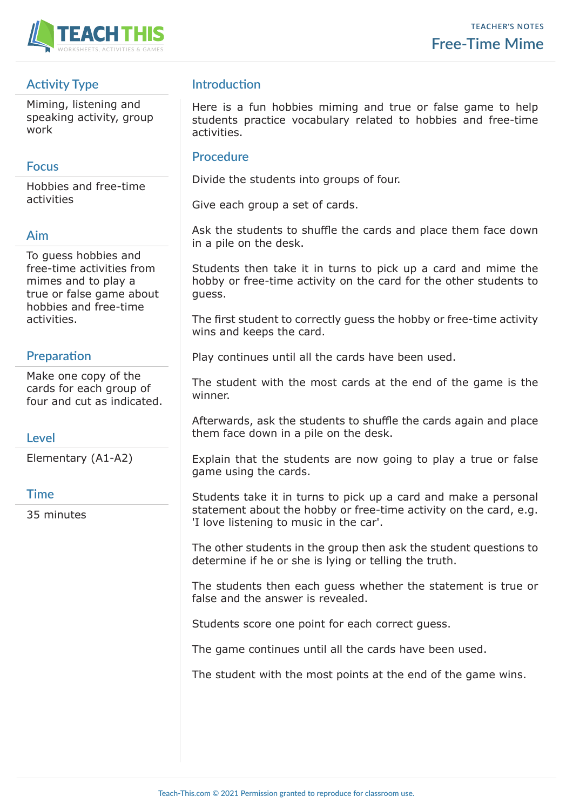

# **Activity Type**

Miming, listening and speaking activity, group work

#### **Focus**

Hobbies and free-time activities

## **Aim**

To guess hobbies and free-time activities from mimes and to play a true or false game about hobbies and free-time activities.

## **Preparation**

Make one copy of the cards for each group of four and cut as indicated.

## **Level**

Elementary (A1-A2)

#### **Time**

35 minutes

# **Introduction**

Here is a fun hobbies miming and true or false game to help students practice vocabulary related to hobbies and free-time activities.

#### **Procedure**

Divide the students into groups of four.

Give each group a set of cards.

Ask the students to shuffle the cards and place them face down in a pile on the desk.

Students then take it in turns to pick up a card and mime the hobby or free-time activity on the card for the other students to guess.

The first student to correctly guess the hobby or free-time activity wins and keeps the card.

Play continues until all the cards have been used.

The student with the most cards at the end of the game is the winner.

Afterwards, ask the students to shuffle the cards again and place them face down in a pile on the desk.

Explain that the students are now going to play a true or false game using the cards.

Students take it in turns to pick up a card and make a personal statement about the hobby or free-time activity on the card, e.g. 'I love listening to music in the car'.

The other students in the group then ask the student questions to determine if he or she is lying or telling the truth.

The students then each guess whether the statement is true or false and the answer is revealed.

Students score one point for each correct guess.

The game continues until all the cards have been used.

The student with the most points at the end of the game wins.